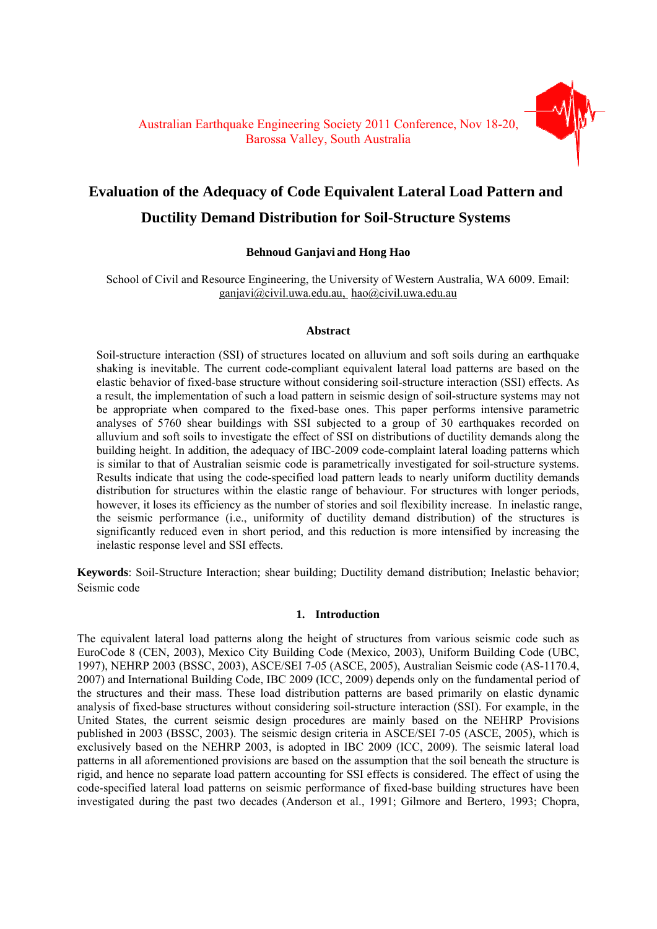# **Evaluation of the Adequacy of Code Equivalent Lateral Load Pattern and Ductility Demand Distribution for Soil-Structure Systems**

## **Behnoud Ganjavi and Hong Hao**

School of Civil and Resource Engineering, the University of Western Australia, WA 6009. Email: ganjavi@civil.uwa.edu.au, hao@civil.uwa.edu.au

## **Abstract**

Soil-structure interaction (SSI) of structures located on alluvium and soft soils during an earthquake shaking is inevitable. The current code-compliant equivalent lateral load patterns are based on the elastic behavior of fixed-base structure without considering soil-structure interaction (SSI) effects. As a result, the implementation of such a load pattern in seismic design of soil-structure systems may not be appropriate when compared to the fixed-base ones. This paper performs intensive parametric analyses of 5760 shear buildings with SSI subjected to a group of 30 earthquakes recorded on alluvium and soft soils to investigate the effect of SSI on distributions of ductility demands along the building height. In addition, the adequacy of IBC-2009 code-complaint lateral loading patterns which is similar to that of Australian seismic code is parametrically investigated for soil-structure systems. Results indicate that using the code-specified load pattern leads to nearly uniform ductility demands distribution for structures within the elastic range of behaviour. For structures with longer periods, however, it loses its efficiency as the number of stories and soil flexibility increase. In inelastic range, the seismic performance (i.e., uniformity of ductility demand distribution) of the structures is significantly reduced even in short period, and this reduction is more intensified by increasing the inelastic response level and SSI effects.

**Keywords**: Soil-Structure Interaction; shear building; Ductility demand distribution; Inelastic behavior; Seismic code

## **1. Introduction**

The equivalent lateral load patterns along the height of structures from various seismic code such as EuroCode 8 (CEN, 2003), Mexico City Building Code (Mexico, 2003), Uniform Building Code (UBC, 1997), NEHRP 2003 (BSSC, 2003), ASCE/SEI 7-05 (ASCE, 2005), Australian Seismic code (AS-1170.4, 2007) and International Building Code, IBC 2009 (ICC, 2009) depends only on the fundamental period of the structures and their mass. These load distribution patterns are based primarily on elastic dynamic analysis of fixed-base structures without considering soil-structure interaction (SSI). For example, in the United States, the current seismic design procedures are mainly based on the NEHRP Provisions published in 2003 (BSSC, 2003). The seismic design criteria in ASCE/SEI 7-05 (ASCE, 2005), which is exclusively based on the NEHRP 2003, is adopted in IBC 2009 (ICC, 2009). The seismic lateral load patterns in all aforementioned provisions are based on the assumption that the soil beneath the structure is rigid, and hence no separate load pattern accounting for SSI effects is considered. The effect of using the code-specified lateral load patterns on seismic performance of fixed-base building structures have been investigated during the past two decades (Anderson et al., 1991; Gilmore and Bertero, 1993; Chopra,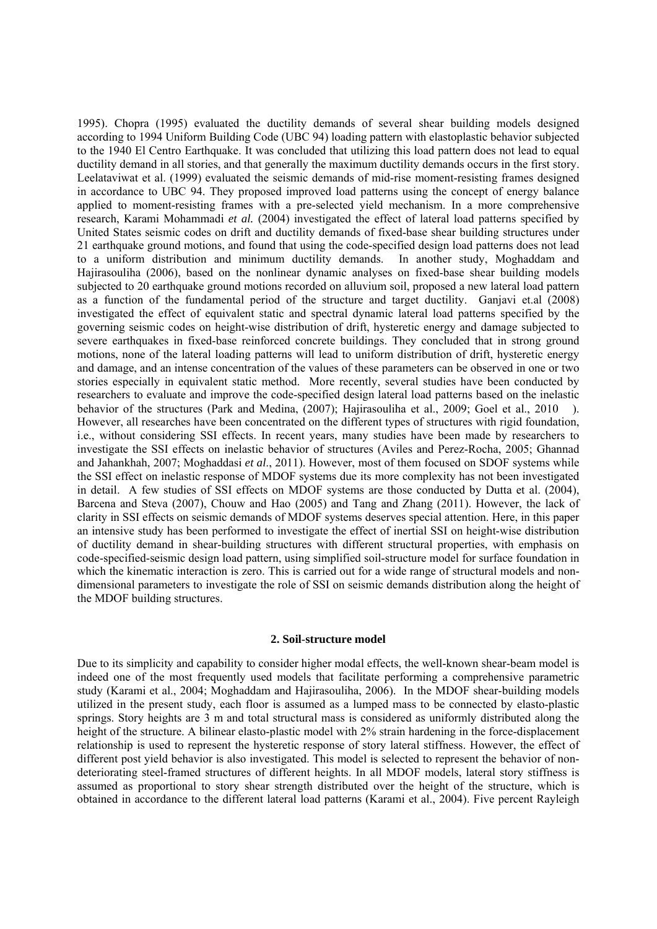1995). Chopra (1995) evaluated the ductility demands of several shear building models designed according to 1994 Uniform Building Code (UBC 94) loading pattern with elastoplastic behavior subjected to the 1940 El Centro Earthquake. It was concluded that utilizing this load pattern does not lead to equal ductility demand in all stories, and that generally the maximum ductility demands occurs in the first story. Leelataviwat et al. (1999) evaluated the seismic demands of mid-rise moment-resisting frames designed in accordance to UBC 94. They proposed improved load patterns using the concept of energy balance applied to moment-resisting frames with a pre-selected yield mechanism. In a more comprehensive research, Karami Mohammadi *et al.* (2004) investigated the effect of lateral load patterns specified by United States seismic codes on drift and ductility demands of fixed-base shear building structures under 21 earthquake ground motions, and found that using the code-specified design load patterns does not lead to a uniform distribution and minimum ductility demands. In another study, Moghaddam and Hajirasouliha (2006), based on the nonlinear dynamic analyses on fixed-base shear building models subjected to 20 earthquake ground motions recorded on alluvium soil, proposed a new lateral load pattern as a function of the fundamental period of the structure and target ductility. Ganjavi et.al (2008) investigated the effect of equivalent static and spectral dynamic lateral load patterns specified by the governing seismic codes on height-wise distribution of drift, hysteretic energy and damage subjected to severe earthquakes in fixed-base reinforced concrete buildings. They concluded that in strong ground motions, none of the lateral loading patterns will lead to uniform distribution of drift, hysteretic energy and damage, and an intense concentration of the values of these parameters can be observed in one or two stories especially in equivalent static method. More recently, several studies have been conducted by researchers to evaluate and improve the code-specified design lateral load patterns based on the inelastic behavior of the structures (Park and Medina, (2007); Hajirasouliha et al., 2009; Goel et al., 2010 ). However, all researches have been concentrated on the different types of structures with rigid foundation, i.e., without considering SSI effects. In recent years, many studies have been made by researchers to investigate the SSI effects on inelastic behavior of structures (Aviles and Perez-Rocha, 2005; Ghannad and Jahankhah, 2007; Moghaddasi *et al*., 2011). However, most of them focused on SDOF systems while the SSI effect on inelastic response of MDOF systems due its more complexity has not been investigated in detail. A few studies of SSI effects on MDOF systems are those conducted by Dutta et al. (2004), Barcena and Steva (2007), Chouw and Hao (2005) and Tang and Zhang (2011). However, the lack of clarity in SSI effects on seismic demands of MDOF systems deserves special attention. Here, in this paper an intensive study has been performed to investigate the effect of inertial SSI on height-wise distribution of ductility demand in shear-building structures with different structural properties, with emphasis on code-specified-seismic design load pattern, using simplified soil-structure model for surface foundation in which the kinematic interaction is zero. This is carried out for a wide range of structural models and nondimensional parameters to investigate the role of SSI on seismic demands distribution along the height of the MDOF building structures.

## **2. Soil**-**structure model**

Due to its simplicity and capability to consider higher modal effects, the well-known shear-beam model is indeed one of the most frequently used models that facilitate performing a comprehensive parametric study (Karami et al., 2004; Moghaddam and Hajirasouliha, 2006). In the MDOF shear-building models utilized in the present study, each floor is assumed as a lumped mass to be connected by elasto-plastic springs. Story heights are 3 m and total structural mass is considered as uniformly distributed along the height of the structure. A bilinear elasto-plastic model with 2% strain hardening in the force-displacement relationship is used to represent the hysteretic response of story lateral stiffness. However, the effect of different post yield behavior is also investigated. This model is selected to represent the behavior of nondeteriorating steel-framed structures of different heights. In all MDOF models, lateral story stiffness is assumed as proportional to story shear strength distributed over the height of the structure, which is obtained in accordance to the different lateral load patterns (Karami et al., 2004). Five percent Rayleigh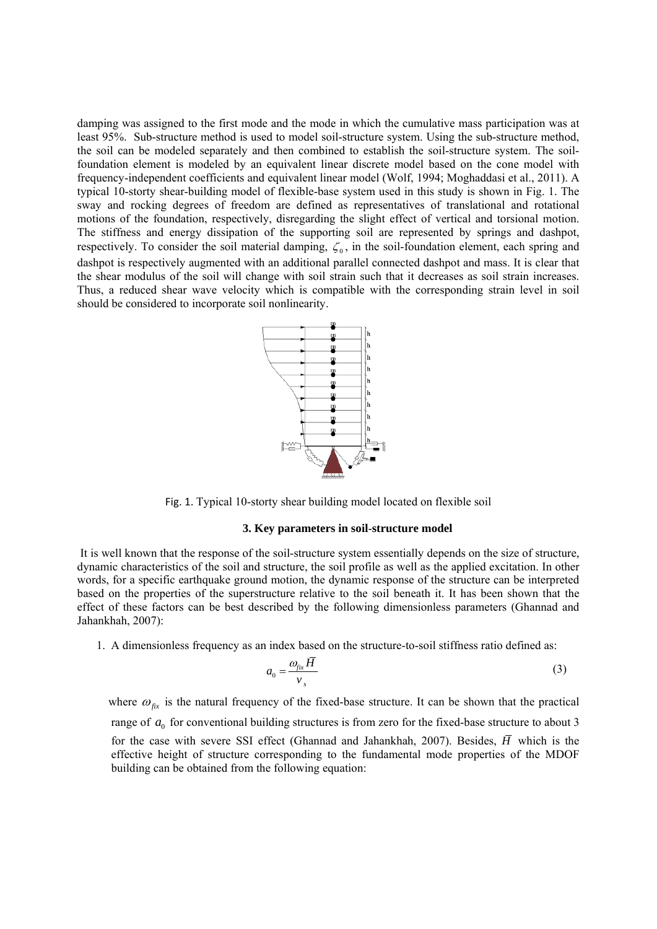damping was assigned to the first mode and the mode in which the cumulative mass participation was at least 95%. Sub-structure method is used to model soil-structure system. Using the sub-structure method, the soil can be modeled separately and then combined to establish the soil-structure system. The soilfoundation element is modeled by an equivalent linear discrete model based on the cone model with frequency-independent coefficients and equivalent linear model (Wolf, 1994; Moghaddasi et al., 2011). A typical 10-storty shear-building model of flexible-base system used in this study is shown in Fig. 1. The sway and rocking degrees of freedom are defined as representatives of translational and rotational motions of the foundation, respectively, disregarding the slight effect of vertical and torsional motion. The stiffness and energy dissipation of the supporting soil are represented by springs and dashpot, respectively. To consider the soil material damping,  $\zeta_0$ , in the soil-foundation element, each spring and dashpot is respectively augmented with an additional parallel connected dashpot and mass. It is clear that the shear modulus of the soil will change with soil strain such that it decreases as soil strain increases. Thus, a reduced shear wave velocity which is compatible with the corresponding strain level in soil should be considered to incorporate soil nonlinearity.



Fig. 1. Typical 10-storty shear building model located on flexible soil

#### **3. Key parameters in soil**-**structure model**

 It is well known that the response of the soil-structure system essentially depends on the size of structure, dynamic characteristics of the soil and structure, the soil profile as well as the applied excitation. In other words, for a specific earthquake ground motion, the dynamic response of the structure can be interpreted based on the properties of the superstructure relative to the soil beneath it. It has been shown that the effect of these factors can be best described by the following dimensionless parameters (Ghannad and Jahankhah, 2007):

1. A dimensionless frequency as an index based on the structure-to-soil stiffness ratio defined as:

$$
a_0 = \frac{\omega_{fix}\bar{H}}{v_s} \tag{3}
$$

where  $\omega_{fix}$  is the natural frequency of the fixed-base structure. It can be shown that the practical range of  $a_0$  for conventional building structures is from zero for the fixed-base structure to about 3 for the case with severe SSI effect (Ghannad and Jahankhah, 2007). Besides,  $\overline{H}$  which is the effective height of structure corresponding to the fundamental mode properties of the MDOF building can be obtained from the following equation: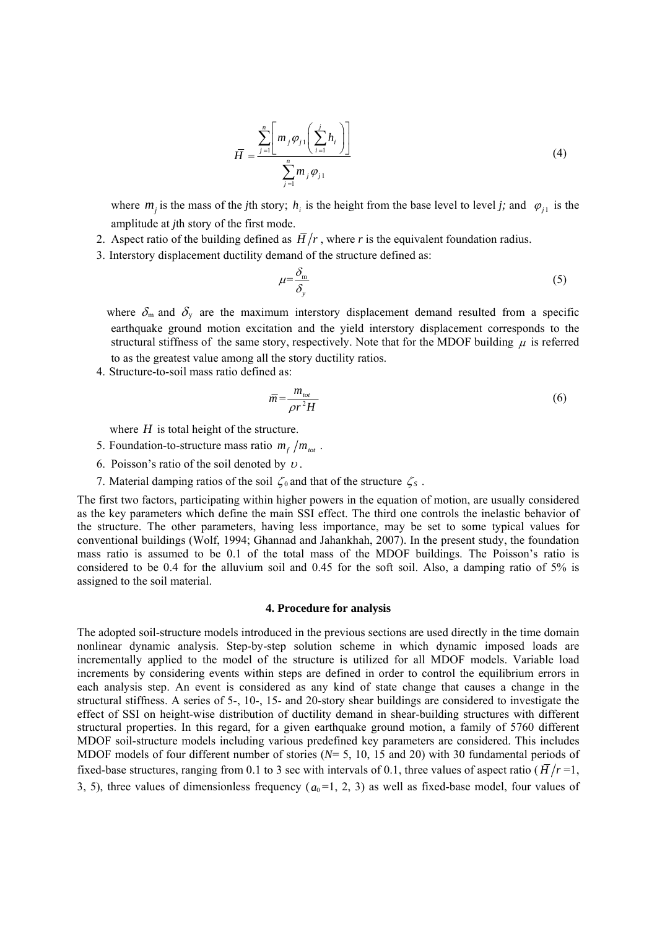$$
\bar{H} = \frac{\sum_{j=1}^{n} \left[ m_j \varphi_{j1} \left( \sum_{i=1}^{j} h_i \right) \right]}{\sum_{j=1}^{n} m_j \varphi_{j1}}
$$
(4)

where  $m_j$  is the mass of the *j*th story;  $h_i$  is the height from the base level to level *j*; and  $\varphi_{j1}$  is the amplitude at *j*th story of the first mode.

- 2. Aspect ratio of the building defined as  $\overline{H}/r$ , where r is the equivalent foundation radius.
- 3. Interstory displacement ductility demand of the structure defined as:

$$
\mu = \frac{\delta_{\rm m}}{\delta_{\rm y}}\tag{5}
$$

where  $\delta_{\rm m}$  and  $\delta_{\rm y}$  are the maximum interstory displacement demand resulted from a specific earthquake ground motion excitation and the yield interstory displacement corresponds to the structural stiffness of the same story, respectively. Note that for the MDOF building  $\mu$  is referred to as the greatest value among all the story ductility ratios.

4. Structure-to-soil mass ratio defined as:

$$
\bar{m} = \frac{m_{\text{tot}}}{\rho r^2 H} \tag{6}
$$

where  $H$  is total height of the structure.

- 5. Foundation-to-structure mass ratio  $m_f / m_{tot}$ .
- 6. Poisson's ratio of the soil denoted by  $\nu$ .
- 7. Material damping ratios of the soil  $\zeta_0$  and that of the structure  $\zeta_s$ .

The first two factors, participating within higher powers in the equation of motion, are usually considered as the key parameters which define the main SSI effect. The third one controls the inelastic behavior of the structure. The other parameters, having less importance, may be set to some typical values for conventional buildings (Wolf, 1994; Ghannad and Jahankhah, 2007). In the present study, the foundation mass ratio is assumed to be 0.1 of the total mass of the MDOF buildings. The Poisson's ratio is considered to be 0.4 for the alluvium soil and 0.45 for the soft soil. Also, a damping ratio of 5% is assigned to the soil material.

#### **4. Procedure for analysis**

The adopted soil-structure models introduced in the previous sections are used directly in the time domain nonlinear dynamic analysis. Step-by-step solution scheme in which dynamic imposed loads are incrementally applied to the model of the structure is utilized for all MDOF models. Variable load increments by considering events within steps are defined in order to control the equilibrium errors in each analysis step. An event is considered as any kind of state change that causes a change in the structural stiffness. A series of 5-, 10-, 15- and 20-story shear buildings are considered to investigate the effect of SSI on height-wise distribution of ductility demand in shear-building structures with different structural properties. In this regard, for a given earthquake ground motion, a family of 5760 different MDOF soil-structure models including various predefined key parameters are considered. This includes MDOF models of four different number of stories (*N*= 5, 10, 15 and 20) with 30 fundamental periods of fixed-base structures, ranging from 0.1 to 3 sec with intervals of 0.1, three values of aspect ratio ( $\overline{H}/r = 1$ , 3, 5), three values of dimensionless frequency  $(a_0=1, 2, 3)$  as well as fixed-base model, four values of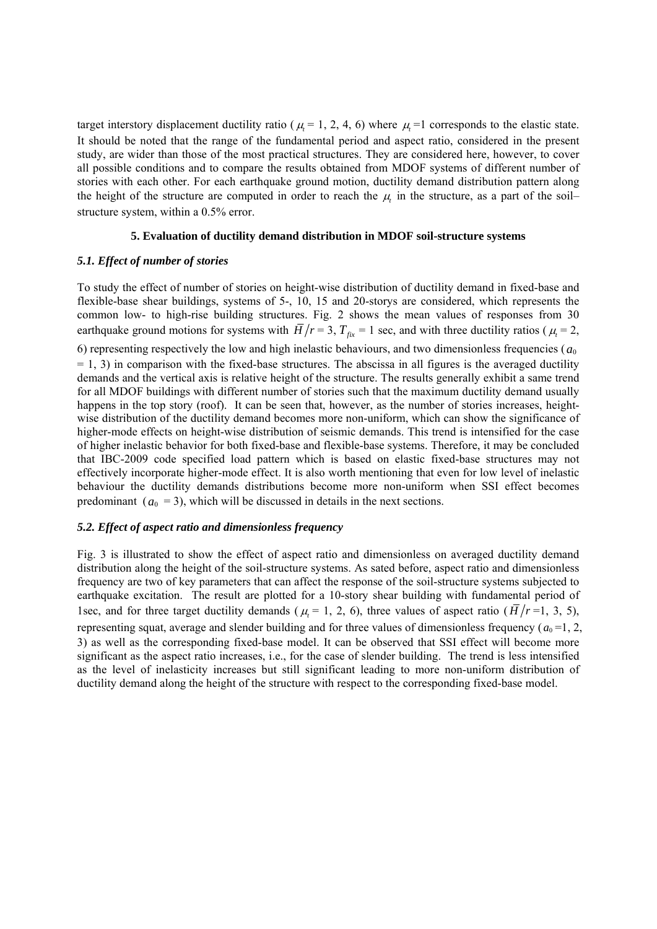target interstory displacement ductility ratio ( $\mu$  = 1, 2, 4, 6) where  $\mu$  =1 corresponds to the elastic state. It should be noted that the range of the fundamental period and aspect ratio, considered in the present study, are wider than those of the most practical structures. They are considered here, however, to cover all possible conditions and to compare the results obtained from MDOF systems of different number of stories with each other. For each earthquake ground motion, ductility demand distribution pattern along the height of the structure are computed in order to reach the  $\mu$  in the structure, as a part of the soil– structure system, within a 0.5% error.

## **5. Evaluation of ductility demand distribution in MDOF soil-structure systems**

## *5.1. Effect of number of stories*

To study the effect of number of stories on height-wise distribution of ductility demand in fixed-base and flexible-base shear buildings, systems of 5-, 10, 15 and 20-storys are considered, which represents the common low- to high-rise building structures. Fig. 2 shows the mean values of responses from 30 earthquake ground motions for systems with  $\overline{H}/r = 3$ ,  $T_{fix} = 1$  sec, and with three ductility ratios ( $\mu_t = 2$ ,

6) representing respectively the low and high inelastic behaviours, and two dimensionless frequencies ( $a_0$ )  $= 1, 3$ ) in comparison with the fixed-base structures. The abscissa in all figures is the averaged ductility demands and the vertical axis is relative height of the structure. The results generally exhibit a same trend for all MDOF buildings with different number of stories such that the maximum ductility demand usually happens in the top story (roof). It can be seen that, however, as the number of stories increases, heightwise distribution of the ductility demand becomes more non-uniform, which can show the significance of higher-mode effects on height-wise distribution of seismic demands. This trend is intensified for the case of higher inelastic behavior for both fixed-base and flexible-base systems. Therefore, it may be concluded that IBC-2009 code specified load pattern which is based on elastic fixed-base structures may not effectively incorporate higher-mode effect. It is also worth mentioning that even for low level of inelastic behaviour the ductility demands distributions become more non-uniform when SSI effect becomes predominant  $(a_0 = 3)$ , which will be discussed in details in the next sections.

## *5.2. Effect of aspect ratio and dimensionless frequency*

Fig. 3 is illustrated to show the effect of aspect ratio and dimensionless on averaged ductility demand distribution along the height of the soil-structure systems. As sated before, aspect ratio and dimensionless frequency are two of key parameters that can affect the response of the soil-structure systems subjected to earthquake excitation. The result are plotted for a 10-story shear building with fundamental period of 1sec, and for three target ductility demands ( $\mu_t = 1, 2, 6$ ), three values of aspect ratio ( $\bar{H}/r = 1, 3, 5$ ), representing squat, average and slender building and for three values of dimensionless frequency ( $a_0 = 1, 2$ , 3) as well as the corresponding fixed-base model. It can be observed that SSI effect will become more significant as the aspect ratio increases, i.e., for the case of slender building. The trend is less intensified as the level of inelasticity increases but still significant leading to more non-uniform distribution of ductility demand along the height of the structure with respect to the corresponding fixed-base model.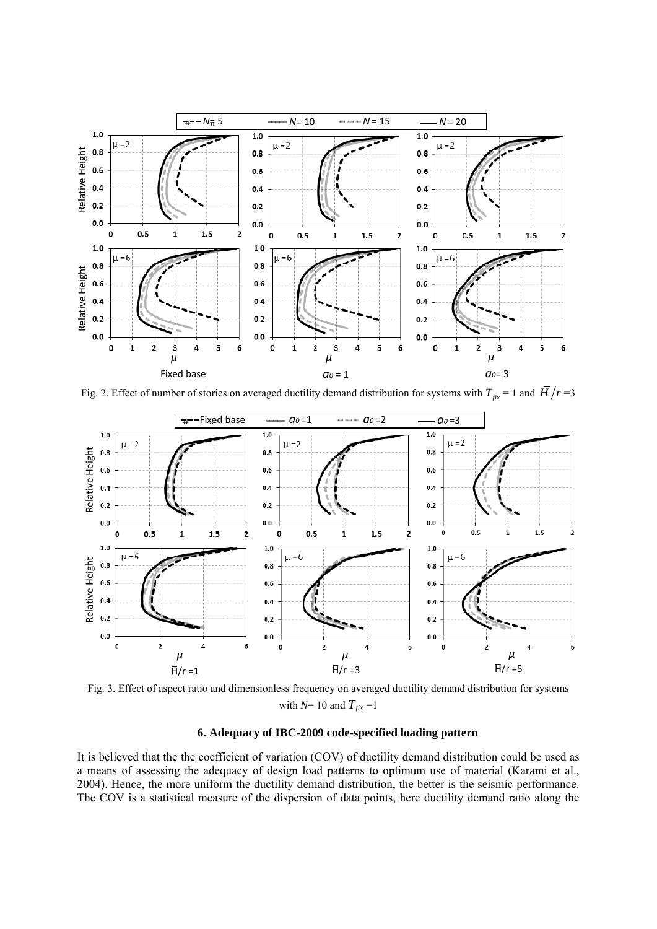

Fig. 2. Effect of number of stories on averaged ductility demand distribution for systems with  $T_{fix} = 1$  and  $\overline{H}/r = 3$ 



Fig. 3. Effect of aspect ratio and dimensionless frequency on averaged ductility demand distribution for systems with  $N=10$  and  $T_{fix}$  =1

## **6. Adequacy of IBC-2009 code-specified loading pattern**

It is believed that the the coefficient of variation (COV) of ductility demand distribution could be used as a means of assessing the adequacy of design load patterns to optimum use of material (Karami et al., 2004). Hence, the more uniform the ductility demand distribution, the better is the seismic performance.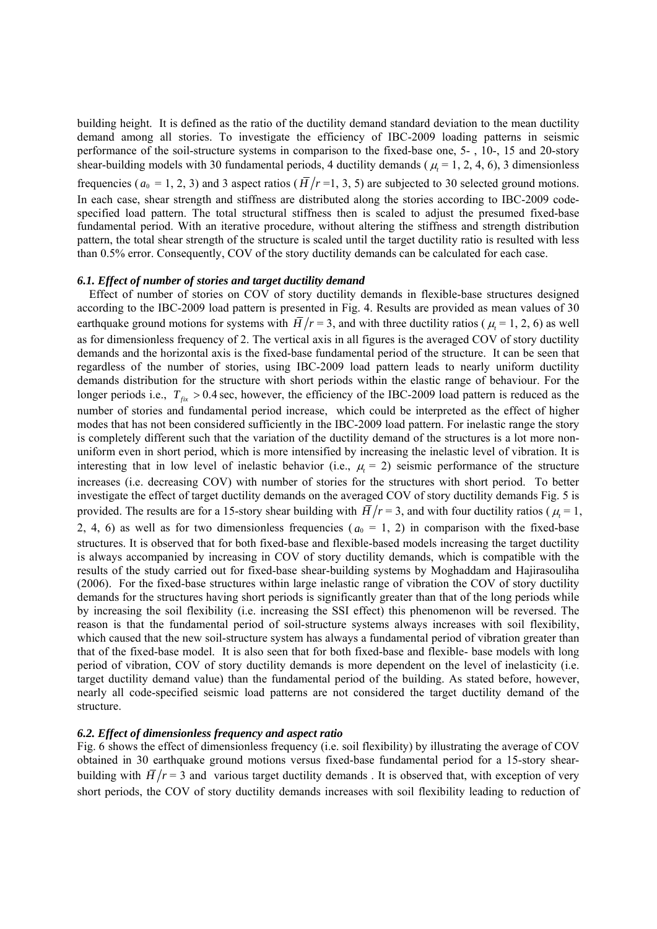building height. It is defined as the ratio of the ductility demand standard deviation to the mean ductility demand among all stories. To investigate the efficiency of IBC-2009 loading patterns in seismic performance of the soil-structure systems in comparison to the fixed-base one, 5- , 10-, 15 and 20-story shear-building models with 30 fundamental periods, 4 ductility demands ( $\mu$  = 1, 2, 4, 6), 3 dimensionless frequencies ( $a_0 = 1, 2, 3$ ) and 3 aspect ratios ( $\overline{H}/r = 1, 3, 5$ ) are subjected to 30 selected ground motions. In each case, shear strength and stiffness are distributed along the stories according to IBC-2009 codespecified load pattern. The total structural stiffness then is scaled to adjust the presumed fixed-base fundamental period. With an iterative procedure, without altering the stiffness and strength distribution pattern, the total shear strength of the structure is scaled until the target ductility ratio is resulted with less than 0.5% error. Consequently, COV of the story ductility demands can be calculated for each case.

#### *6.1. Effect of number of stories and target ductility demand*

 Effect of number of stories on COV of story ductility demands in flexible-base structures designed according to the IBC-2009 load pattern is presented in Fig. 4. Results are provided as mean values of 30 earthquake ground motions for systems with  $\overline{H}/r = 3$ , and with three ductility ratios ( $\mu = 1, 2, 6$ ) as well as for dimensionless frequency of 2. The vertical axis in all figures is the averaged COV of story ductility demands and the horizontal axis is the fixed-base fundamental period of the structure. It can be seen that regardless of the number of stories, using IBC-2009 load pattern leads to nearly uniform ductility demands distribution for the structure with short periods within the elastic range of behaviour. For the longer periods i.e.,  $T_{fix} > 0.4$  sec, however, the efficiency of the IBC-2009 load pattern is reduced as the number of stories and fundamental period increase, which could be interpreted as the effect of higher modes that has not been considered sufficiently in the IBC-2009 load pattern. For inelastic range the story is completely different such that the variation of the ductility demand of the structures is a lot more nonuniform even in short period, which is more intensified by increasing the inelastic level of vibration. It is interesting that in low level of inelastic behavior (i.e.,  $\mu = 2$ ) seismic performance of the structure increases (i.e. decreasing COV) with number of stories for the structures with short period. To better investigate the effect of target ductility demands on the averaged COV of story ductility demands Fig. 5 is provided. The results are for a 15-story shear building with  $\overline{H}/r = 3$ , and with four ductility ratios ( $\mu_t = 1$ , 2, 4, 6) as well as for two dimensionless frequencies ( $a_0 = 1$ , 2) in comparison with the fixed-base structures. It is observed that for both fixed-base and flexible-based models increasing the target ductility is always accompanied by increasing in COV of story ductility demands, which is compatible with the results of the study carried out for fixed-base shear-building systems by Moghaddam and Hajirasouliha (2006). For the fixed-base structures within large inelastic range of vibration the COV of story ductility demands for the structures having short periods is significantly greater than that of the long periods while by increasing the soil flexibility (i.e. increasing the SSI effect) this phenomenon will be reversed. The reason is that the fundamental period of soil-structure systems always increases with soil flexibility, which caused that the new soil-structure system has always a fundamental period of vibration greater than that of the fixed-base model. It is also seen that for both fixed-base and flexible- base models with long period of vibration, COV of story ductility demands is more dependent on the level of inelasticity (i.e. target ductility demand value) than the fundamental period of the building. As stated before, however, nearly all code-specified seismic load patterns are not considered the target ductility demand of the structure.

## *6.2. Effect of dimensionless frequency and aspect ratio*

Fig. 6 shows the effect of dimensionless frequency (i.e. soil flexibility) by illustrating the average of COV obtained in 30 earthquake ground motions versus fixed-base fundamental period for a 15-story shearbuilding with  $\overline{H}/r = 3$  and various target ductility demands. It is observed that, with exception of very short periods, the COV of story ductility demands increases with soil flexibility leading to reduction of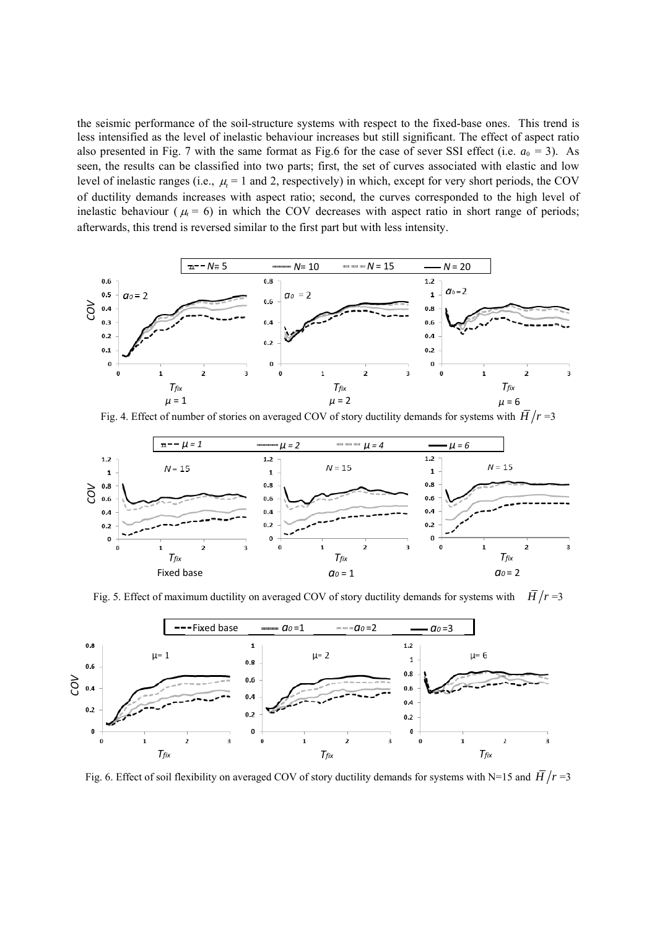the seismic performance of the soil-structure systems with respect to the fixed-base ones. This trend is less intensified as the level of inelastic behaviour increases but still significant. The effect of aspect ratio also presented in Fig. 7 with the same format as Fig.6 for the case of sever SSI effect (i.e.  $a_0 = 3$ ). As seen, the results can be classified into two parts; first, the set of curves associated with elastic and low level of inelastic ranges (i.e.,  $\mu = 1$  and 2, respectively) in which, except for very short periods, the COV of ductility demands increases with aspect ratio; second, the curves corresponded to the high level of inelastic behaviour ( $\mu = 6$ ) in which the COV decreases with aspect ratio in short range of periods; afterwards, this trend is reversed similar to the first part but with less intensity.



Fig. 4. Effect of number of stories on averaged COV of story ductility demands for systems with  $\overline{H}/r = 3$ 



Fig. 5. Effect of maximum ductility on averaged COV of story ductility demands for systems with  $H/r = 3$ 

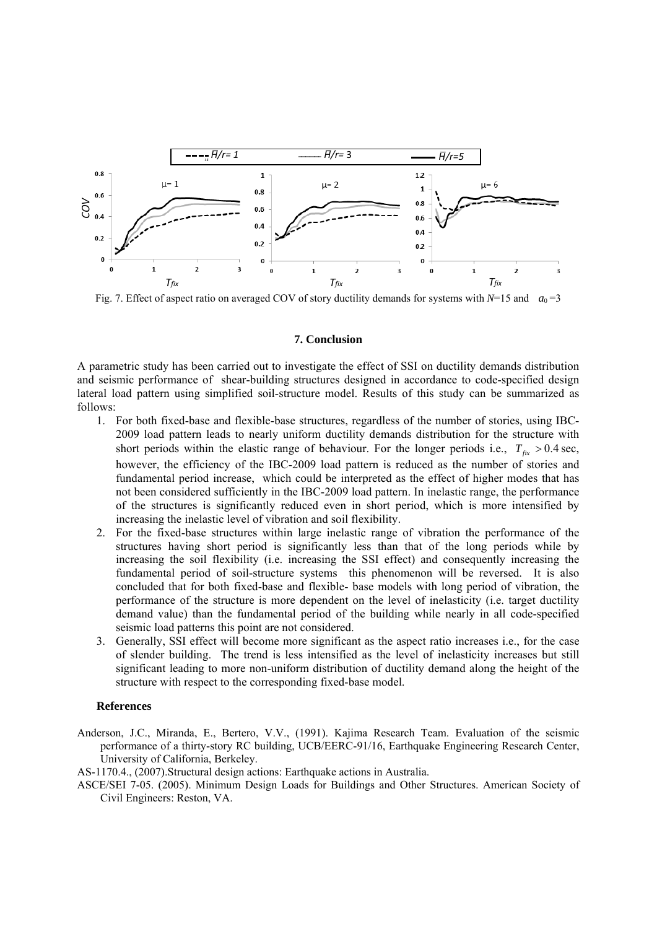

Fig. 7. Effect of aspect ratio on averaged COV of story ductility demands for systems with  $N=15$  and  $a_0=3$ 

#### **7. Conclusion**

A parametric study has been carried out to investigate the effect of SSI on ductility demands distribution and seismic performance of shear-building structures designed in accordance to code-specified design lateral load pattern using simplified soil-structure model. Results of this study can be summarized as follows:

- 1. For both fixed-base and flexible-base structures, regardless of the number of stories, using IBC-2009 load pattern leads to nearly uniform ductility demands distribution for the structure with short periods within the elastic range of behaviour. For the longer periods i.e.,  $T_{fix} > 0.4$  sec, however, the efficiency of the IBC-2009 load pattern is reduced as the number of stories and fundamental period increase, which could be interpreted as the effect of higher modes that has not been considered sufficiently in the IBC-2009 load pattern. In inelastic range, the performance of the structures is significantly reduced even in short period, which is more intensified by increasing the inelastic level of vibration and soil flexibility.
- 2. For the fixed-base structures within large inelastic range of vibration the performance of the structures having short period is significantly less than that of the long periods while by increasing the soil flexibility (i.e. increasing the SSI effect) and consequently increasing the fundamental period of soil-structure systems this phenomenon will be reversed. It is also concluded that for both fixed-base and flexible- base models with long period of vibration, the performance of the structure is more dependent on the level of inelasticity (i.e. target ductility demand value) than the fundamental period of the building while nearly in all code-specified seismic load patterns this point are not considered.
- 3. Generally, SSI effect will become more significant as the aspect ratio increases i.e., for the case of slender building. The trend is less intensified as the level of inelasticity increases but still significant leading to more non-uniform distribution of ductility demand along the height of the structure with respect to the corresponding fixed-base model.

## **References**

Anderson, J.C., Miranda, E., Bertero, V.V., (1991). Kajima Research Team. Evaluation of the seismic performance of a thirty-story RC building, UCB/EERC-91/16, Earthquake Engineering Research Center, University of California, Berkeley.

AS-1170.4., (2007).Structural design actions: Earthquake actions in Australia.

ASCE/SEI 7-05. (2005). Minimum Design Loads for Buildings and Other Structures. American Society of Civil Engineers: Reston, VA.